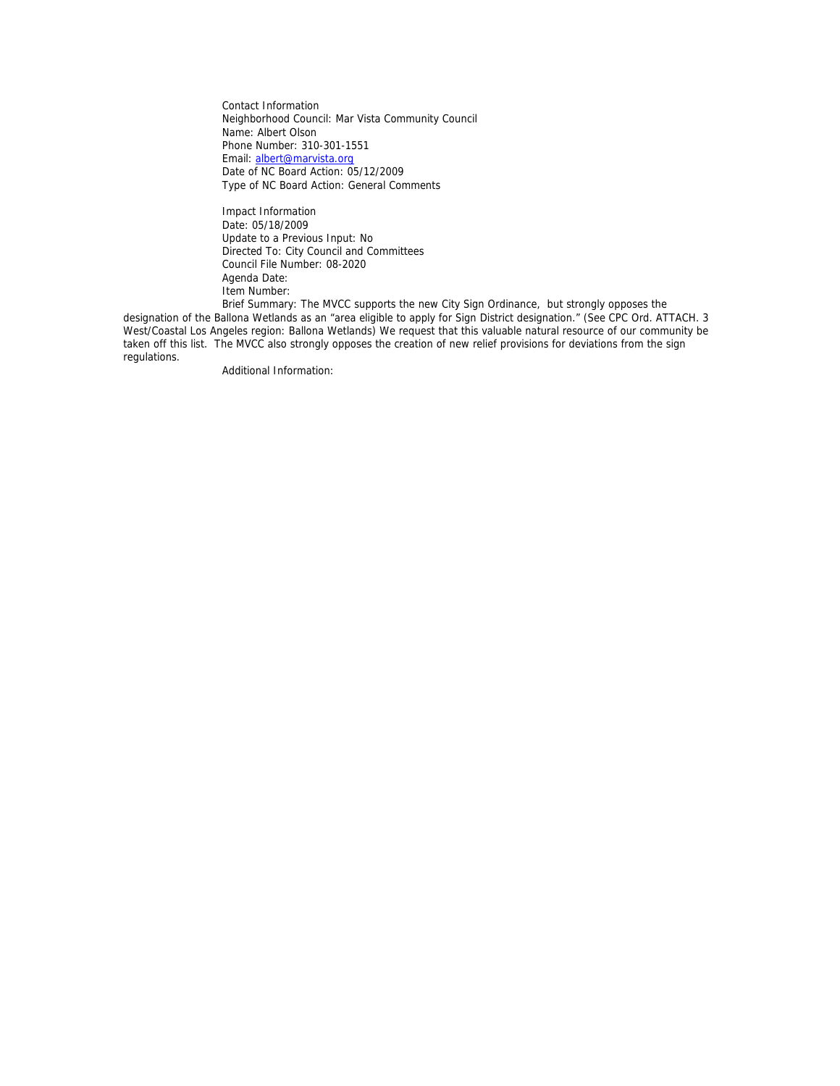Contact Information Neighborhood Council: Mar Vista Community Council Name: Albert Olson Phone Number: 310-301-1551 Email: albert@marvista.org Date of NC Board Action: 05/12/2009 Type of NC Board Action: General Comments

 Impact Information Date: 05/18/2009 Update to a Previous Input: No Directed To: City Council and Committees Council File Number: 08-2020 Agenda Date: Item Number:

 Brief Summary: The MVCC supports the new City Sign Ordinance, but strongly opposes the designation of the Ballona Wetlands as an "area eligible to apply for Sign District designation." (See CPC Ord. ATTACH. 3 West/Coastal Los Angeles region: Ballona Wetlands) We request that this valuable natural resource of our community be taken off this list. The MVCC also strongly opposes the creation of new relief provisions for deviations from the sign regulations.

Additional Information: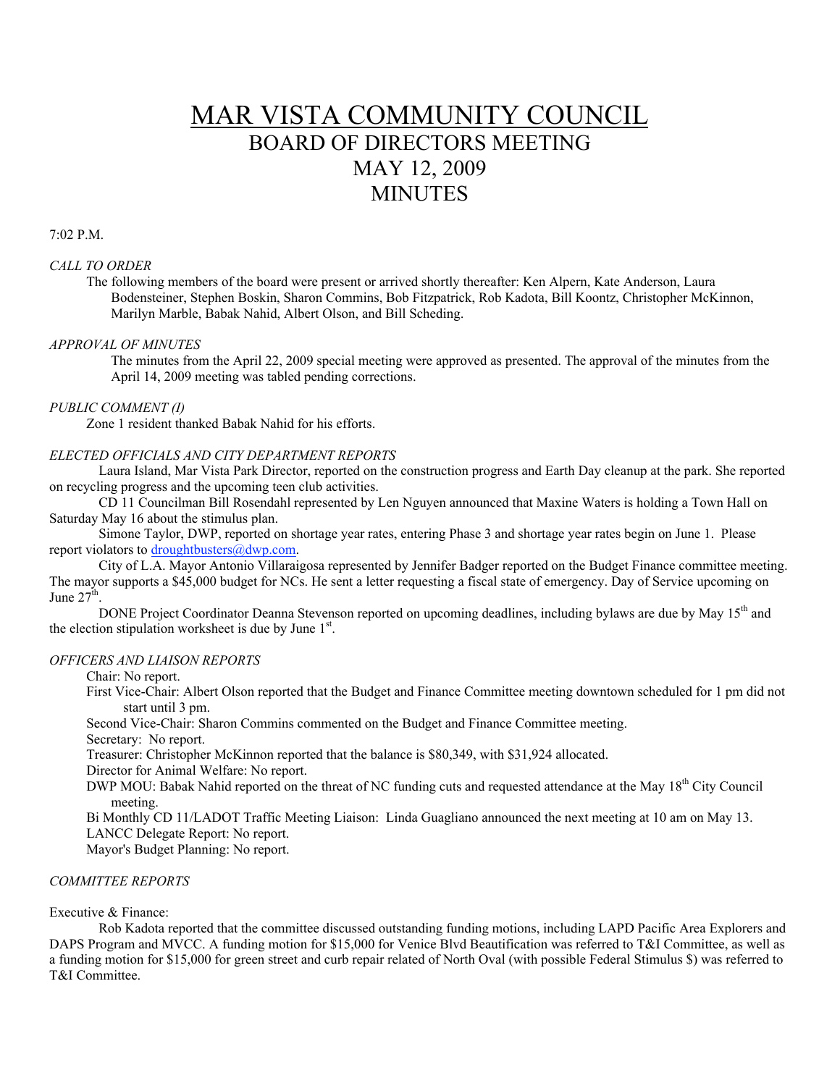# MAR VISTA COMMUNITY COUNCIL BOARD OF DIRECTORS MEETING MAY 12, 2009 **MINUTES**

7:02 P.M.

# *CALL TO ORDER*

The following members of the board were present or arrived shortly thereafter: Ken Alpern, Kate Anderson, Laura Bodensteiner, Stephen Boskin, Sharon Commins, Bob Fitzpatrick, Rob Kadota, Bill Koontz, Christopher McKinnon, Marilyn Marble, Babak Nahid, Albert Olson, and Bill Scheding.

#### *APPROVAL OF MINUTES*

The minutes from the April 22, 2009 special meeting were approved as presented. The approval of the minutes from the April 14, 2009 meeting was tabled pending corrections.

# *PUBLIC COMMENT (I)*

Zone 1 resident thanked Babak Nahid for his efforts.

#### *ELECTED OFFICIALS AND CITY DEPARTMENT REPORTS*

Laura Island, Mar Vista Park Director, reported on the construction progress and Earth Day cleanup at the park. She reported on recycling progress and the upcoming teen club activities.

CD 11 Councilman Bill Rosendahl represented by Len Nguyen announced that Maxine Waters is holding a Town Hall on Saturday May 16 about the stimulus plan.

Simone Taylor, DWP, reported on shortage year rates, entering Phase 3 and shortage year rates begin on June 1. Please report violators to droughtbusters@dwp.com.

City of L.A. Mayor Antonio Villaraigosa represented by Jennifer Badger reported on the Budget Finance committee meeting. The mayor supports a \$45,000 budget for NCs. He sent a letter requesting a fiscal state of emergency. Day of Service upcoming on June  $27<sup>th</sup>$ .

DONE Project Coordinator Deanna Stevenson reported on upcoming deadlines, including bylaws are due by May 15<sup>th</sup> and the election stipulation worksheet is due by June  $1<sup>st</sup>$ .

## *OFFICERS AND LIAISON REPORTS*

Chair: No report.

First Vice-Chair: Albert Olson reported that the Budget and Finance Committee meeting downtown scheduled for 1 pm did not start until 3 pm.

Second Vice-Chair: Sharon Commins commented on the Budget and Finance Committee meeting.

Secretary: No report.

Treasurer: Christopher McKinnon reported that the balance is \$80,349, with \$31,924 allocated.

Director for Animal Welfare: No report.

DWP MOU: Babak Nahid reported on the threat of NC funding cuts and requested attendance at the May 18<sup>th</sup> City Council meeting.

Bi Monthly CD 11/LADOT Traffic Meeting Liaison: Linda Guagliano announced the next meeting at 10 am on May 13. LANCC Delegate Report: No report.

Mayor's Budget Planning: No report.

## *COMMITTEE REPORTS*

## Executive & Finance:

Rob Kadota reported that the committee discussed outstanding funding motions, including LAPD Pacific Area Explorers and DAPS Program and MVCC. A funding motion for \$15,000 for Venice Blvd Beautification was referred to T&I Committee, as well as a funding motion for \$15,000 for green street and curb repair related of North Oval (with possible Federal Stimulus \$) was referred to T&I Committee.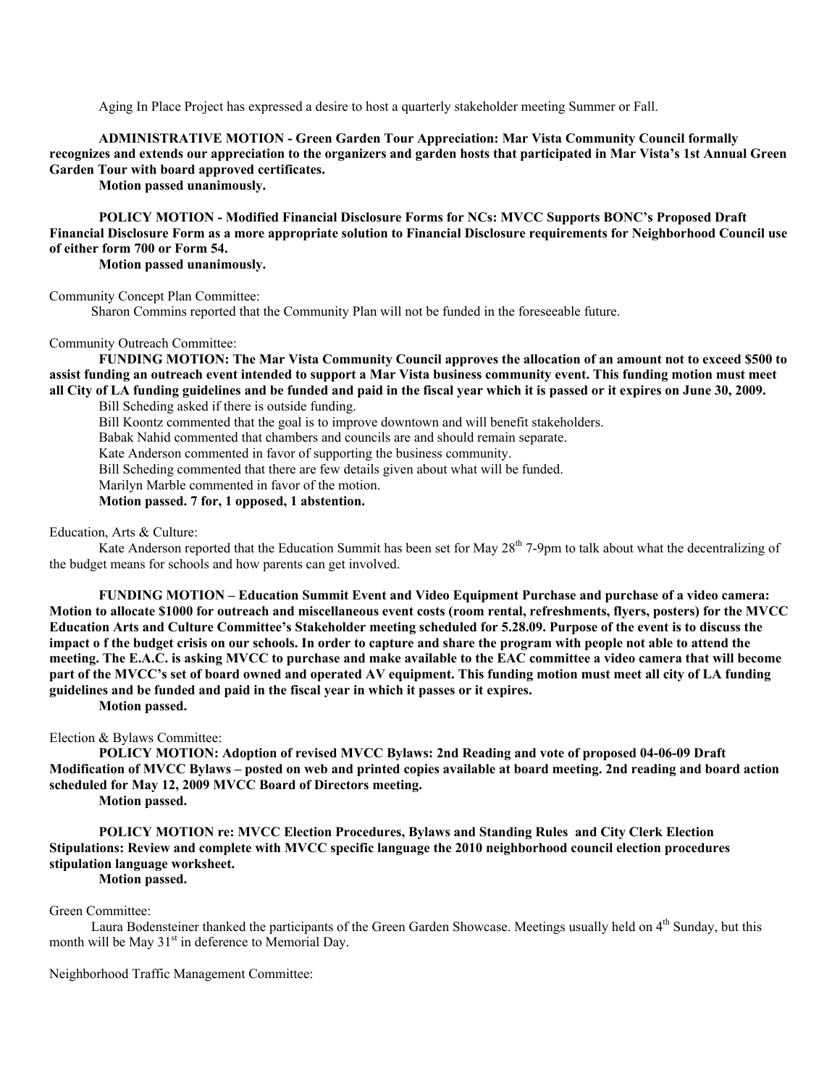Aging In Place Project has expressed a desire to host a quarterly stakeholder meeting Summer or Fall.

**ADMINISTRATIVE MOTION - Green Garden Tour Appreciation: Mar Vista Community Council formally recognizes and extends our appreciation to the organizers and garden hosts that participated in Mar Vista's 1st Annual Green Garden Tour with board approved certificates.**

**Motion passed unanimously.**

**POLICY MOTION - Modified Financial Disclosure Forms for NCs: MVCC Supports BONC's Proposed Draft Financial Disclosure Form as a more appropriate solution to Financial Disclosure requirements for Neighborhood Council use of either form 700 or Form 54.**

**Motion passed unanimously.**

Community Concept Plan Committee:

Sharon Commins reported that the Community Plan will not be funded in the foreseeable future.

#### Community Outreach Committee:

**FUNDING MOTION: The Mar Vista Community Council approves the allocation of an amount not to exceed \$500 to assist funding an outreach event intended to support a Mar Vista business community event. This funding motion must meet all City of LA funding guidelines and be funded and paid in the fiscal year which it is passed or it expires on June 30, 2009.**

Bill Scheding asked if there is outside funding.

Bill Koontz commented that the goal is to improve downtown and will benefit stakeholders.

Babak Nahid commented that chambers and councils are and should remain separate.

Kate Anderson commented in favor of supporting the business community.

Bill Scheding commented that there are few details given about what will be funded.

Marilyn Marble commented in favor of the motion.

**Motion passed. 7 for, 1 opposed, 1 abstention.**

#### Education, Arts & Culture:

Kate Anderson reported that the Education Summit has been set for May  $28<sup>th</sup>$  7-9pm to talk about what the decentralizing of the budget means for schools and how parents can get involved.

**FUNDING MOTION – Education Summit Event and Video Equipment Purchase and purchase of a video camera: Motion to allocate \$1000 for outreach and miscellaneous event costs (room rental, refreshments, flyers, posters) for the MVCC Education Arts and Culture Committee's Stakeholder meeting scheduled for 5.28.09. Purpose of the event is to discuss the impact o f the budget crisis on our schools. In order to capture and share the program with people not able to attend the meeting. The E.A.C. is asking MVCC to purchase and make available to the EAC committee a video camera that will become part of the MVCC's set of board owned and operated AV equipment. This funding motion must meet all city of LA funding guidelines and be funded and paid in the fiscal year in which it passes or it expires.**

**Motion passed.**

Election & Bylaws Committee:

**POLICY MOTION: Adoption of revised MVCC Bylaws: 2nd Reading and vote of proposed 04-06-09 Draft Modification of MVCC Bylaws – posted on web and printed copies available at board meeting. 2nd reading and board action scheduled for May 12, 2009 MVCC Board of Directors meeting.** 

**Motion passed.**

**POLICY MOTION re: MVCC Election Procedures, Bylaws and Standing Rules and City Clerk Election Stipulations: Review and complete with MVCC specific language the 2010 neighborhood council election procedures stipulation language worksheet.**

**Motion passed.**

## Green Committee:

Laura Bodensteiner thanked the participants of the Green Garden Showcase. Meetings usually held on 4<sup>th</sup> Sunday, but this month will be May  $31<sup>st</sup>$  in deference to Memorial Day.

Neighborhood Traffic Management Committee: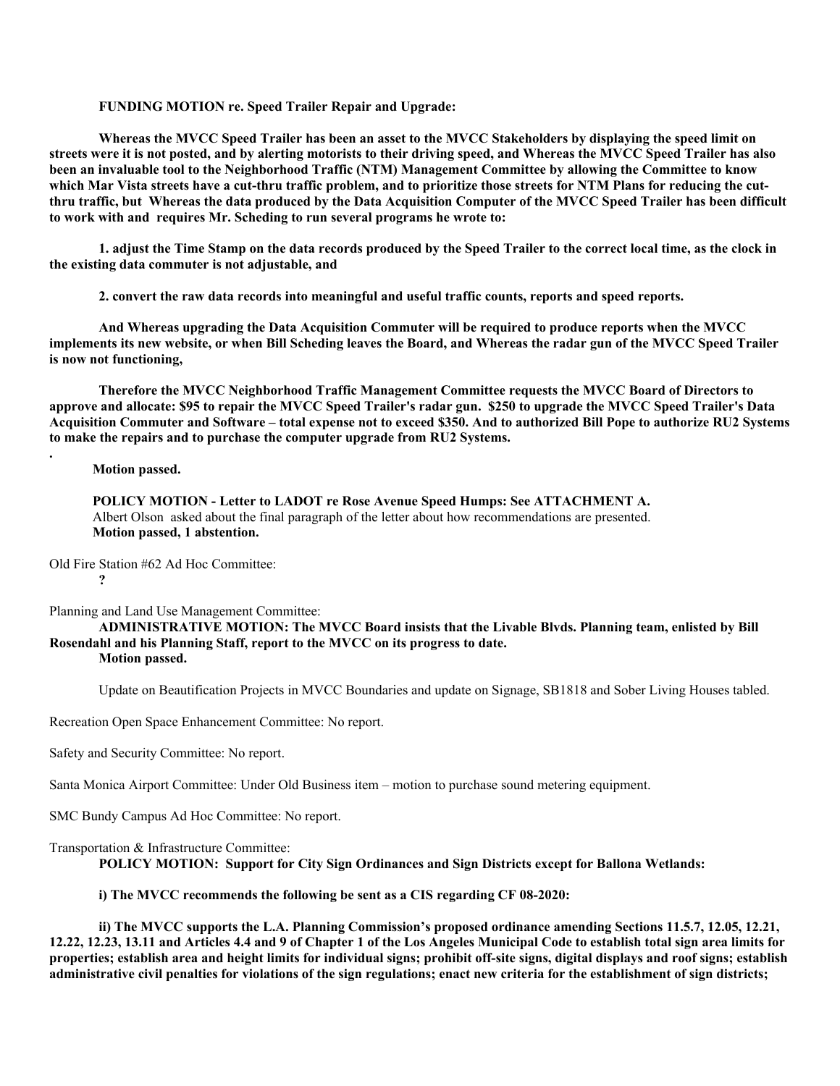## **FUNDING MOTION re. Speed Trailer Repair and Upgrade:**

**Whereas the MVCC Speed Trailer has been an asset to the MVCC Stakeholders by displaying the speed limit on streets were it is not posted, and by alerting motorists to their driving speed, and Whereas the MVCC Speed Trailer has also been an invaluable tool to the Neighborhood Traffic (NTM) Management Committee by allowing the Committee to know which Mar Vista streets have a cut-thru traffic problem, and to prioritize those streets for NTM Plans for reducing the cutthru traffic, but Whereas the data produced by the Data Acquisition Computer of the MVCC Speed Trailer has been difficult to work with and requires Mr. Scheding to run several programs he wrote to:**

**1. adjust the Time Stamp on the data records produced by the Speed Trailer to the correct local time, as the clock in the existing data commuter is not adjustable, and**

**2. convert the raw data records into meaningful and useful traffic counts, reports and speed reports.** 

**And Whereas upgrading the Data Acquisition Commuter will be required to produce reports when the MVCC implements its new website, or when Bill Scheding leaves the Board, and Whereas the radar gun of the MVCC Speed Trailer is now not functioning,** 

**Therefore the MVCC Neighborhood Traffic Management Committee requests the MVCC Board of Directors to approve and allocate: \$95 to repair the MVCC Speed Trailer's radar gun. \$250 to upgrade the MVCC Speed Trailer's Data Acquisition Commuter and Software – total expense not to exceed \$350. And to authorized Bill Pope to authorize RU2 Systems to make the repairs and to purchase the computer upgrade from RU2 Systems.**

**Motion passed.**

**POLICY MOTION - Letter to LADOT re Rose Avenue Speed Humps: See ATTACHMENT A.** Albert Olson asked about the final paragraph of the letter about how recommendations are presented. **Motion passed, 1 abstention.**

Old Fire Station #62 Ad Hoc Committee: **?**

**.**

Planning and Land Use Management Committee:

#### **ADMINISTRATIVE MOTION: The MVCC Board insists that the Livable Blvds. Planning team, enlisted by Bill Rosendahl and his Planning Staff, report to the MVCC on its progress to date. Motion passed.**

Update on Beautification Projects in MVCC Boundaries and update on Signage, SB1818 and Sober Living Houses tabled.

Recreation Open Space Enhancement Committee: No report.

Safety and Security Committee: No report.

Santa Monica Airport Committee: Under Old Business item – motion to purchase sound metering equipment.

SMC Bundy Campus Ad Hoc Committee: No report.

Transportation & Infrastructure Committee: **POLICY MOTION: Support for City Sign Ordinances and Sign Districts except for Ballona Wetlands:**

## **i) The MVCC recommends the following be sent as a CIS regarding CF 08-2020:**

**ii) The MVCC supports the L.A. Planning Commission's proposed ordinance amending Sections 11.5.7, 12.05, 12.21, 12.22, 12.23, 13.11 and Articles 4.4 and 9 of Chapter 1 of the Los Angeles Municipal Code to establish total sign area limits for properties; establish area and height limits for individual signs; prohibit off-site signs, digital displays and roof signs; establish administrative civil penalties for violations of the sign regulations; enact new criteria for the establishment of sign districts;**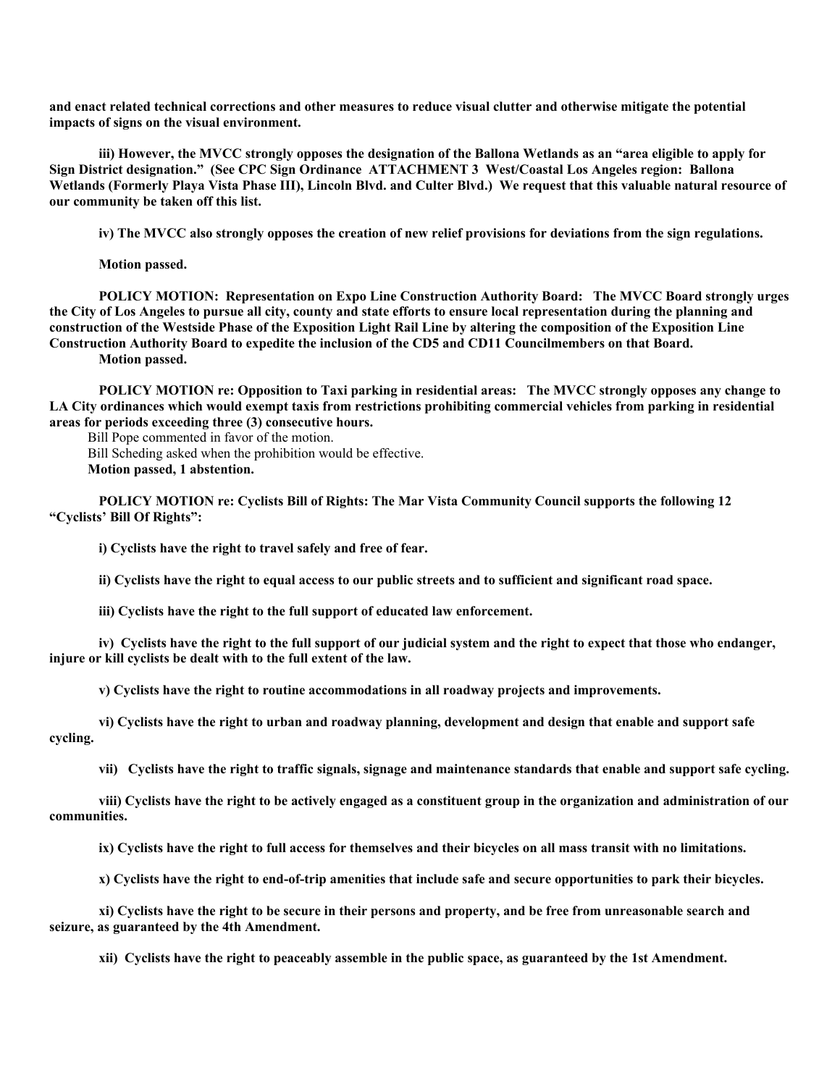**and enact related technical corrections and other measures to reduce visual clutter and otherwise mitigate the potential impacts of signs on the visual environment.**

**iii) However, the MVCC strongly opposes the designation of the Ballona Wetlands as an "area eligible to apply for Sign District designation." (See CPC Sign Ordinance ATTACHMENT 3 West/Coastal Los Angeles region: Ballona**  Wetlands (Formerly Playa Vista Phase III), Lincoln Blvd. and Culter Blvd.) We request that this valuable natural resource of **our community be taken off this list.**

**iv) The MVCC also strongly opposes the creation of new relief provisions for deviations from the sign regulations.**

**Motion passed.**

**POLICY MOTION: Representation on Expo Line Construction Authority Board: The MVCC Board strongly urges the City of Los Angeles to pursue all city, county and state efforts to ensure local representation during the planning and construction of the Westside Phase of the Exposition Light Rail Line by altering the composition of the Exposition Line Construction Authority Board to expedite the inclusion of the CD5 and CD11 Councilmembers on that Board.**

**Motion passed.**

**POLICY MOTION re: Opposition to Taxi parking in residential areas: The MVCC strongly opposes any change to LA City ordinances which would exempt taxis from restrictions prohibiting commercial vehicles from parking in residential areas for periods exceeding three (3) consecutive hours.**

Bill Pope commented in favor of the motion.

Bill Scheding asked when the prohibition would be effective.

**Motion passed, 1 abstention.**

**POLICY MOTION re: Cyclists Bill of Rights: The Mar Vista Community Council supports the following 12 "Cyclists' Bill Of Rights":**

**i) Cyclists have the right to travel safely and free of fear.**

**ii) Cyclists have the right to equal access to our public streets and to sufficient and significant road space.**

**iii) Cyclists have the right to the full support of educated law enforcement.**

**iv) Cyclists have the right to the full support of our judicial system and the right to expect that those who endanger, injure or kill cyclists be dealt with to the full extent of the law.**

**v) Cyclists have the right to routine accommodations in all roadway projects and improvements.**

**vi) Cyclists have the right to urban and roadway planning, development and design that enable and support safe cycling.**

**vii) Cyclists have the right to traffic signals, signage and maintenance standards that enable and support safe cycling.**

**viii) Cyclists have the right to be actively engaged as a constituent group in the organization and administration of our communities.**

**ix) Cyclists have the right to full access for themselves and their bicycles on all mass transit with no limitations.**

**x) Cyclists have the right to end-of-trip amenities that include safe and secure opportunities to park their bicycles.**

**xi) Cyclists have the right to be secure in their persons and property, and be free from unreasonable search and seizure, as guaranteed by the 4th Amendment.**

**xii) Cyclists have the right to peaceably assemble in the public space, as guaranteed by the 1st Amendment.**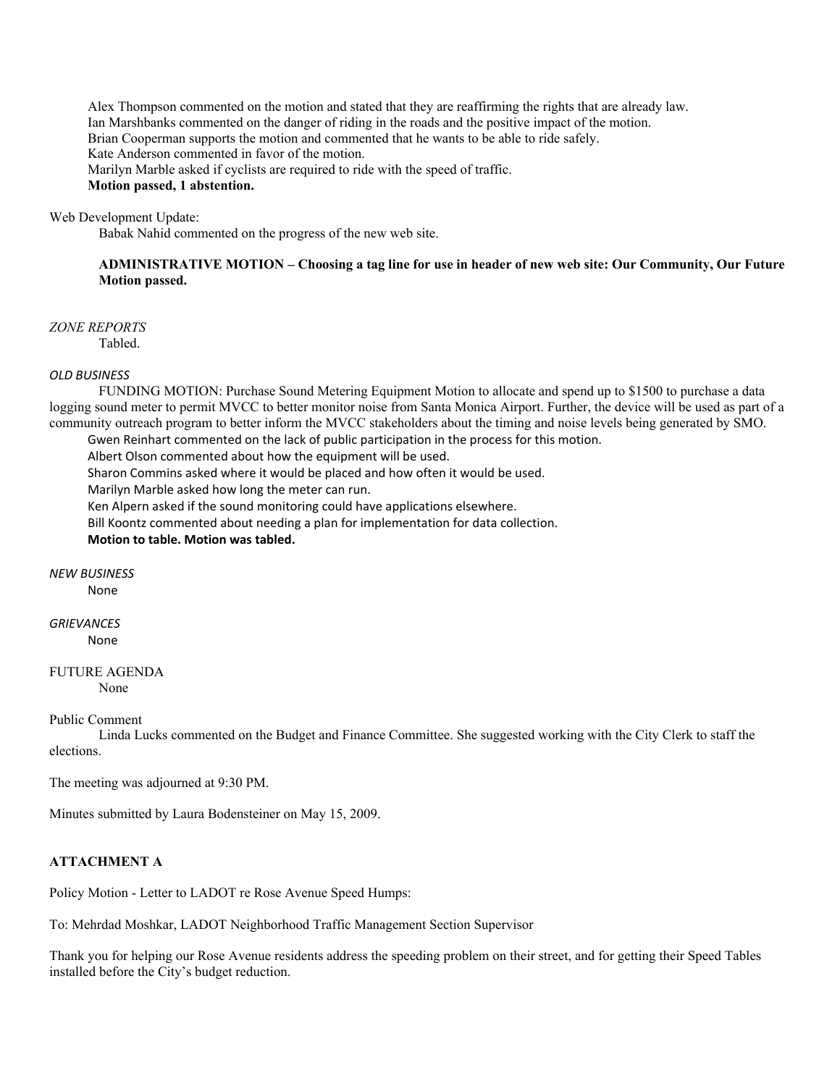Alex Thompson commented on the motion and stated that they are reaffirming the rights that are already law. Ian Marshbanks commented on the danger of riding in the roads and the positive impact of the motion. Brian Cooperman supports the motion and commented that he wants to be able to ride safely. Kate Anderson commented in favor of the motion. Marilyn Marble asked if cyclists are required to ride with the speed of traffic. **Motion passed, 1 abstention.**

#### Web Development Update:

Babak Nahid commented on the progress of the new web site.

# **ADMINISTRATIVE MOTION – Choosing a tag line for use in header of new web site: Our Community, Our Future Motion passed.**

*ZONE REPORTS*

Tabled.

## *OLD BUSINESS*

FUNDING MOTION: Purchase Sound Metering Equipment Motion to allocate and spend up to \$1500 to purchase a data logging sound meter to permit MVCC to better monitor noise from Santa Monica Airport. Further, the device will be used as part of a community outreach program to better inform the MVCC stakeholders about the timing and noise levels being generated by SMO.

Gwen Reinhart commented on the lack of public participation in the process for this motion.

Albert Olson commented about how the equipment will be used.

Sharon Commins asked where it would be placed and how often it would be used.

Marilyn Marble asked how long the meter can run.

Ken Alpern asked if the sound monitoring could have applications elsewhere.

Bill Koontz commented about needing a plan for implementation for data collection.

## **Motion to table. Motion was tabled.**

*NEW BUSINESS* None

*GRIEVANCES* None

#### FUTURE AGENDA None

Public Comment

Linda Lucks commented on the Budget and Finance Committee. She suggested working with the City Clerk to staff the elections.

The meeting was adjourned at 9:30 PM.

Minutes submitted by Laura Bodensteiner on May 15, 2009.

# **ATTACHMENT A**

Policy Motion - Letter to LADOT re Rose Avenue Speed Humps:

To: Mehrdad Moshkar, LADOT Neighborhood Traffic Management Section Supervisor

Thank you for helping our Rose Avenue residents address the speeding problem on their street, and for getting their Speed Tables installed before the City's budget reduction.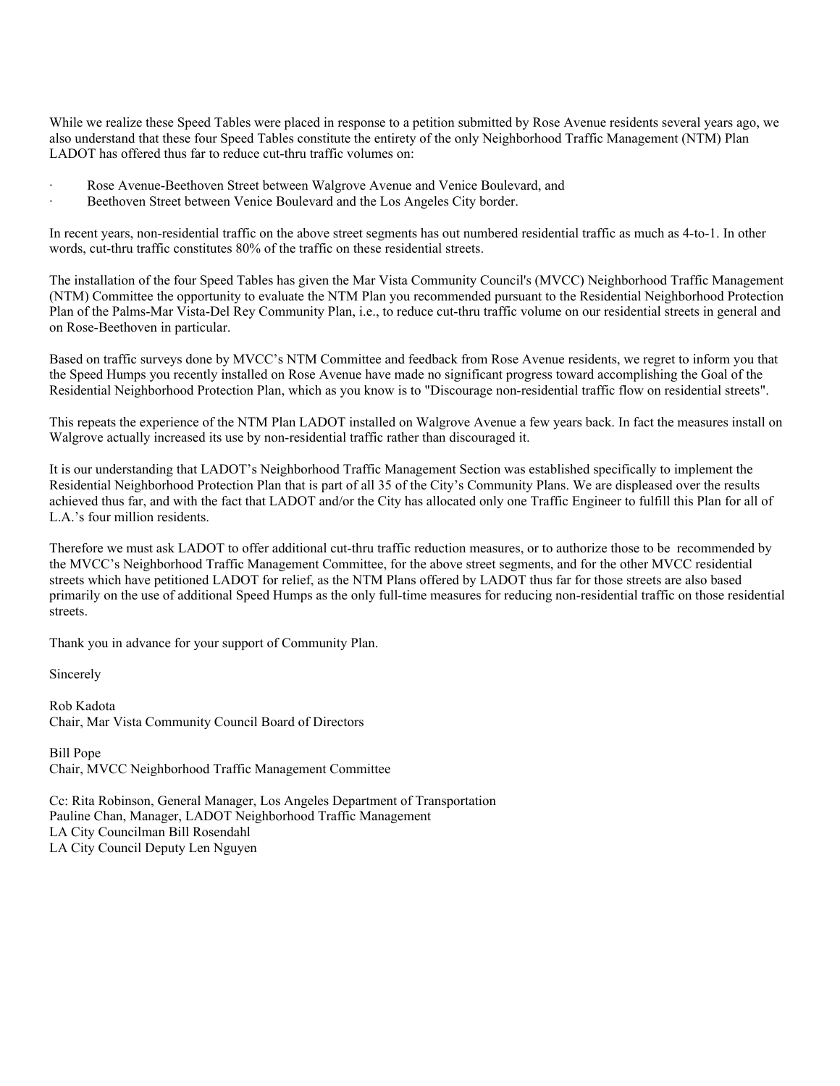While we realize these Speed Tables were placed in response to a petition submitted by Rose Avenue residents several years ago, we also understand that these four Speed Tables constitute the entirety of the only Neighborhood Traffic Management (NTM) Plan LADOT has offered thus far to reduce cut-thru traffic volumes on:

- Rose Avenue-Beethoven Street between Walgrove Avenue and Venice Boulevard, and
- Beethoven Street between Venice Boulevard and the Los Angeles City border.

In recent years, non-residential traffic on the above street segments has out numbered residential traffic as much as 4-to-1. In other words, cut-thru traffic constitutes 80% of the traffic on these residential streets.

The installation of the four Speed Tables has given the Mar Vista Community Council's (MVCC) Neighborhood Traffic Management (NTM) Committee the opportunity to evaluate the NTM Plan you recommended pursuant to the Residential Neighborhood Protection Plan of the Palms-Mar Vista-Del Rey Community Plan, i.e., to reduce cut-thru traffic volume on our residential streets in general and on Rose-Beethoven in particular.

Based on traffic surveys done by MVCC's NTM Committee and feedback from Rose Avenue residents, we regret to inform you that the Speed Humps you recently installed on Rose Avenue have made no significant progress toward accomplishing the Goal of the Residential Neighborhood Protection Plan, which as you know is to "Discourage non-residential traffic flow on residential streets".

This repeats the experience of the NTM Plan LADOT installed on Walgrove Avenue a few years back. In fact the measures install on Walgrove actually increased its use by non-residential traffic rather than discouraged it.

It is our understanding that LADOT's Neighborhood Traffic Management Section was established specifically to implement the Residential Neighborhood Protection Plan that is part of all 35 of the City's Community Plans. We are displeased over the results achieved thus far, and with the fact that LADOT and/or the City has allocated only one Traffic Engineer to fulfill this Plan for all of L.A.'s four million residents.

Therefore we must ask LADOT to offer additional cut-thru traffic reduction measures, or to authorize those to be recommended by the MVCC's Neighborhood Traffic Management Committee, for the above street segments, and for the other MVCC residential streets which have petitioned LADOT for relief, as the NTM Plans offered by LADOT thus far for those streets are also based primarily on the use of additional Speed Humps as the only full-time measures for reducing non-residential traffic on those residential streets.

Thank you in advance for your support of Community Plan.

Sincerely

Rob Kadota Chair, Mar Vista Community Council Board of Directors

Bill Pope Chair, MVCC Neighborhood Traffic Management Committee

Cc: Rita Robinson, General Manager, Los Angeles Department of Transportation Pauline Chan, Manager, LADOT Neighborhood Traffic Management LA City Councilman Bill Rosendahl LA City Council Deputy Len Nguyen